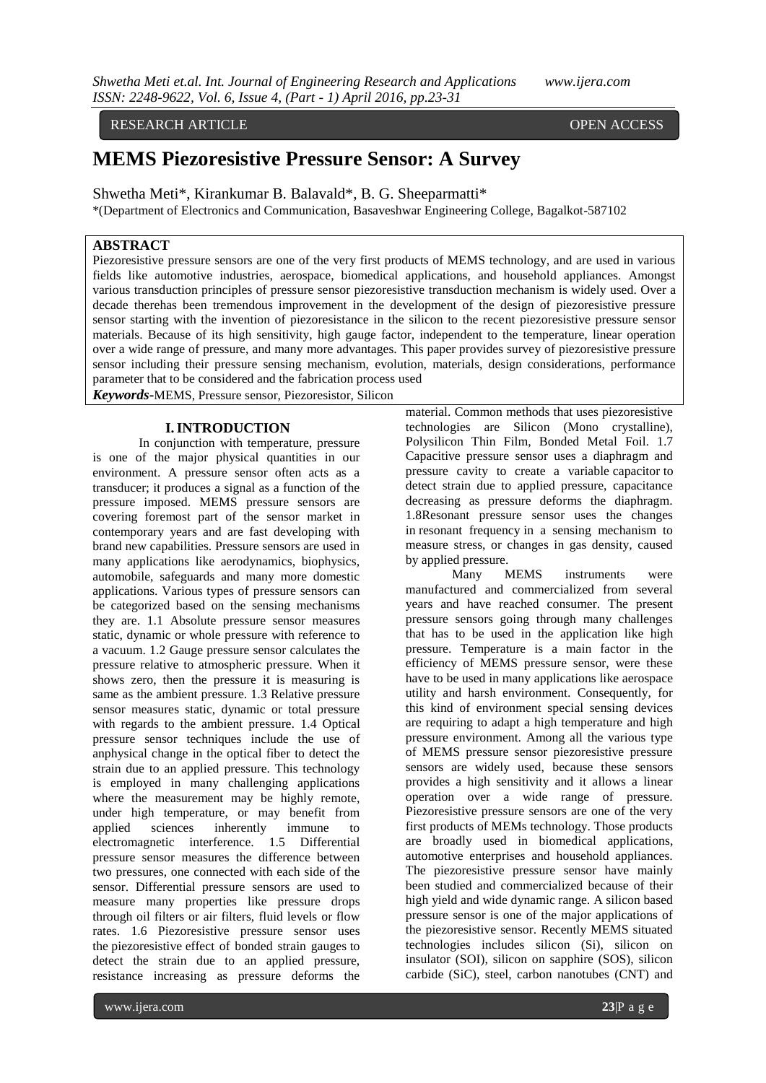#### RESEARCH ARTICLE **CONSERVERS** OPEN ACCESS

# **MEMS Piezoresistive Pressure Sensor: A Survey**

Shwetha Meti\*, Kirankumar B. Balavald\*, B. G. Sheeparmatti\*

\*(Department of Electronics and Communication, Basaveshwar Engineering College, Bagalkot-587102

## **ABSTRACT**

Piezoresistive pressure sensors are one of the very first products of MEMS technology, and are used in various fields like automotive industries, aerospace, biomedical applications, and household appliances. Amongst various transduction principles of pressure sensor piezoresistive transduction mechanism is widely used. Over a decade therehas been tremendous improvement in the development of the design of piezoresistive pressure sensor starting with the invention of piezoresistance in the silicon to the recent piezoresistive pressure sensor materials. Because of its high sensitivity, high gauge factor, independent to the temperature, linear operation over a wide range of pressure, and many more advantages. This paper provides survey of piezoresistive pressure sensor including their pressure sensing mechanism, evolution, materials, design considerations, performance parameter that to be considered and the fabrication process used

*Keywords***-**MEMS, Pressure sensor, Piezoresistor, Silicon

#### **I.INTRODUCTION**

In conjunction with temperature, pressure is one of the major physical quantities in our environment. A pressure sensor often acts as a transducer; it produces a signal as a function of the pressure imposed. MEMS pressure sensors are covering foremost part of the sensor market in contemporary years and are fast developing with brand new capabilities. Pressure sensors are used in many applications like aerodynamics, biophysics, automobile, safeguards and many more domestic applications. Various types of pressure sensors can be categorized based on the sensing mechanisms they are. 1.1 Absolute pressure sensor measures static, dynamic or whole pressure with reference to a vacuum. 1.2 Gauge pressure sensor calculates the pressure relative to atmospheric pressure. When it shows zero, then the pressure it is measuring is same as the ambient pressure. 1.3 Relative pressure sensor measures static, dynamic or total pressure with regards to the ambient pressure. 1.4 Optical pressure sensor techniques include the use of anphysical change in the optical fiber to detect the strain due to an applied pressure. This technology is employed in many challenging applications where the measurement may be highly remote, under high temperature, or may benefit from applied sciences inherently immune to electromagnetic interference. 1.5 Differential pressure sensor measures the difference between two pressures, one connected with each side of the sensor. Differential pressure sensors are used to measure many properties like pressure drops through oil filters or air filters, fluid levels or flow rates. 1.6 Piezoresistive pressure sensor uses the [piezoresistive](https://en.wikipedia.org/wiki/Piezoresistive) effect of bonded [strain gauges](https://en.wikipedia.org/wiki/Strain_gauge) to detect the strain due to an applied pressure, resistance increasing as pressure deforms the

material. Common methods that uses piezoresistive technologies are Silicon (Mono crystalline), Polysilicon Thin Film, Bonded Metal Foil. 1.7 Capacitive pressure sensor uses a diaphragm and pressure cavity to create a variable [capacitor](https://en.wikipedia.org/wiki/Capacitor) to detect strain due to applied pressure, capacitance decreasing as pressure deforms the diaphragm. 1.8Resonant pressure sensor uses the changes in [resonant frequency](https://en.wikipedia.org/wiki/Resonant_frequency) in a sensing mechanism to measure stress, or changes in gas density, caused by applied pressure.

Many MEMS instruments were manufactured and commercialized from several years and have reached consumer. The present pressure sensors going through many challenges that has to be used in the application like high pressure. Temperature is a main factor in the efficiency of MEMS pressure sensor, were these have to be used in many applications like aerospace utility and harsh environment. Consequently, for this kind of environment special sensing devices are requiring to adapt a high temperature and high pressure environment. Among all the various type of MEMS pressure sensor piezoresistive pressure sensors are widely used, because these sensors provides a high sensitivity and it allows a linear operation over a wide range of pressure. Piezoresistive pressure sensors are one of the very first products of MEMs technology. Those products are broadly used in biomedical applications, automotive enterprises and household appliances. The piezoresistive pressure sensor have mainly been studied and commercialized because of their high yield and wide dynamic range. A silicon based pressure sensor is one of the major applications of the piezoresistive sensor. Recently MEMS situated technologies includes silicon (Si), silicon on insulator (SOI), silicon on sapphire (SOS), silicon carbide (SiC), steel, carbon nanotubes (CNT) and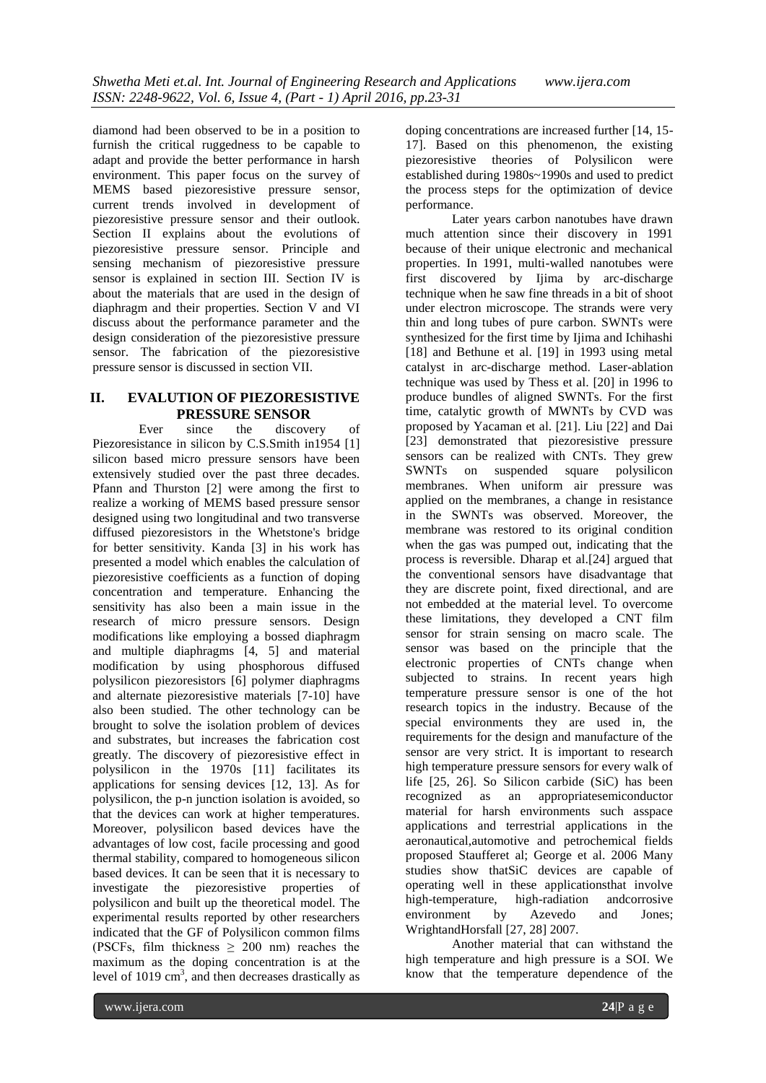diamond had been observed to be in a position to furnish the critical ruggedness to be capable to adapt and provide the better performance in harsh environment. This paper focus on the survey of MEMS based piezoresistive pressure sensor, current trends involved in development of piezoresistive pressure sensor and their outlook. Section II explains about the evolutions of piezoresistive pressure sensor. Principle and sensing mechanism of piezoresistive pressure sensor is explained in section III. Section IV is about the materials that are used in the design of diaphragm and their properties. Section V and VI discuss about the performance parameter and the design consideration of the piezoresistive pressure sensor. The fabrication of the piezoresistive pressure sensor is discussed in section VII.

### **II. EVALUTION OF PIEZORESISTIVE PRESSURE SENSOR**

Ever since the discovery of Piezoresistance in silicon by C.S.Smith in1954 [1] silicon based micro pressure sensors have been extensively studied over the past three decades. Pfann and Thurston [2] were among the first to realize a working of MEMS based pressure sensor designed using two longitudinal and two transverse diffused piezoresistors in the Whetstone's bridge for better sensitivity. Kanda [3] in his work has presented a model which enables the calculation of piezoresistive coefficients as a function of doping concentration and temperature. Enhancing the sensitivity has also been a main issue in the research of micro pressure sensors. Design modifications like employing a bossed diaphragm and multiple diaphragms [4, 5] and material modification by using phosphorous diffused polysilicon piezoresistors [6] polymer diaphragms and alternate piezoresistive materials [7-10] have also been studied. The other technology can be brought to solve the isolation problem of devices and substrates, but increases the fabrication cost greatly. The discovery of piezoresistive effect in polysilicon in the 1970s [11] facilitates its applications for sensing devices [12, 13]. As for polysilicon, the p-n junction isolation is avoided, so that the devices can work at higher temperatures. Moreover, polysilicon based devices have the advantages of low cost, facile processing and good thermal stability, compared to homogeneous silicon based devices. It can be seen that it is necessary to investigate the piezoresistive properties of polysilicon and built up the theoretical model. The experimental results reported by other researchers indicated that the GF of Polysilicon common films (PSCFs, film thickness ≥ 200 nm) reaches the maximum as the doping concentration is at the level of  $1019 \text{ cm}^3$ , and then decreases drastically as

doping concentrations are increased further [14, 15- 17]. Based on this phenomenon, the existing piezoresistive theories of Polysilicon were established during 1980s~1990s and used to predict the process steps for the optimization of device performance.

Later years carbon nanotubes have drawn much attention since their discovery in 1991 because of their unique electronic and mechanical properties. In 1991, multi-walled nanotubes were first discovered by Ijima by arc-discharge technique when he saw fine threads in a bit of shoot under electron microscope. The strands were very thin and long tubes of pure carbon. SWNTs were synthesized for the first time by Ijima and Ichihashi [18] and Bethune et al. [19] in 1993 using metal catalyst in arc-discharge method. Laser-ablation technique was used by Thess et al. [20] in 1996 to produce bundles of aligned SWNTs. For the first time, catalytic growth of MWNTs by CVD was proposed by Yacaman et al. [21]. Liu [22] and Dai [23] demonstrated that piezoresistive pressure sensors can be realized with CNTs. They grew<br>SWNTs on suspended square polysilicon SWNTs on suspended square membranes. When uniform air pressure was applied on the membranes, a change in resistance in the SWNTs was observed. Moreover, the membrane was restored to its original condition when the gas was pumped out, indicating that the process is reversible. Dharap et al.[24] argued that the conventional sensors have disadvantage that they are discrete point, fixed directional, and are not embedded at the material level. To overcome these limitations, they developed a CNT film sensor for strain sensing on macro scale. The sensor was based on the principle that the electronic properties of CNTs change when subjected to strains. In recent years high temperature pressure sensor is one of the hot research topics in the industry. Because of the special environments they are used in, the requirements for the design and manufacture of the sensor are very strict. It is important to research high temperature pressure sensors for every walk of life [25, 26]. So Silicon carbide (SiC) has been recognized as an appropriatesemiconductor material for harsh environments such asspace applications and terrestrial applications in the aeronautical,automotive and petrochemical fields proposed Staufferet al; George et al. 2006 Many studies show thatSiC devices are capable of operating well in these applicationsthat involve high-temperature, high-radiation andcorrosive environment by Azevedo and Jones; WrightandHorsfall [27, 28] 2007.

Another material that can withstand the high temperature and high pressure is a SOI. We know that the temperature dependence of the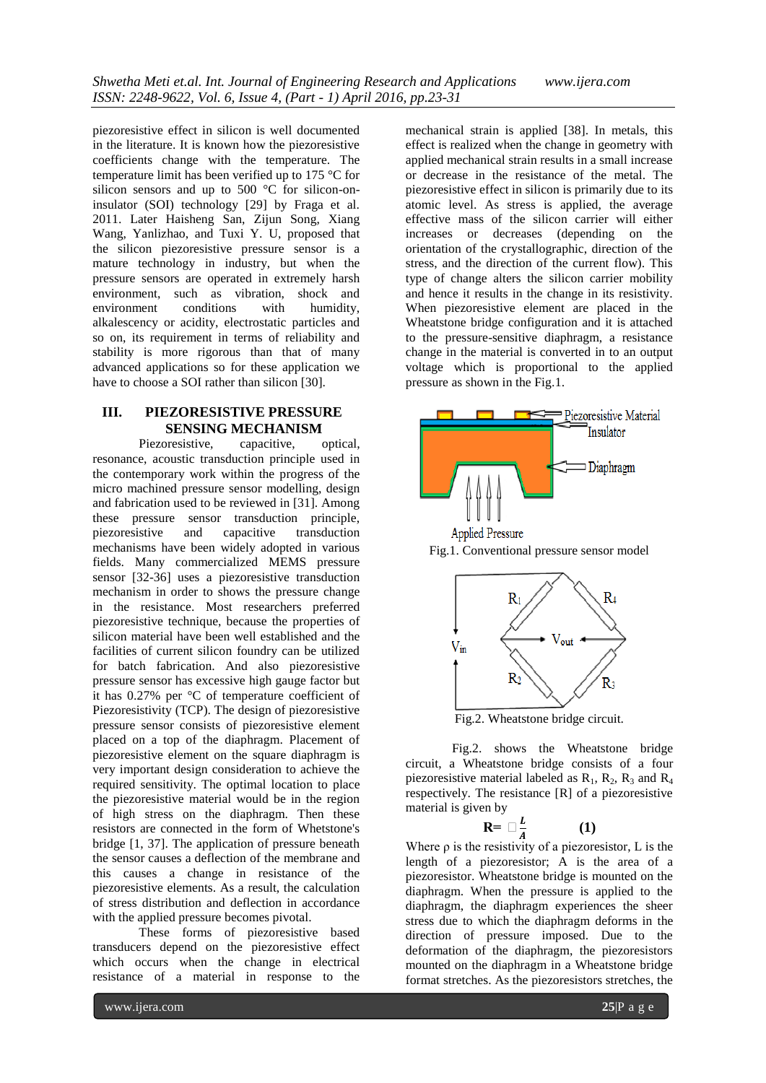piezoresistive effect in silicon is well documented in the literature. It is known how the piezoresistive coefficients change with the temperature. The temperature limit has been verified up to 175 °C for silicon sensors and up to 500 °C for silicon-oninsulator (SOI) technology [29] by Fraga et al. 2011. Later Haisheng San, Zijun Song, Xiang Wang, Yanlizhao, and Tuxi Y. U, proposed that the silicon piezoresistive pressure sensor is a mature technology in industry, but when the pressure sensors are operated in extremely harsh environment, such as vibration, shock and<br>environment conditions with humidity, environment conditions with alkalescency or acidity, electrostatic particles and so on, its requirement in terms of reliability and stability is more rigorous than that of many advanced applications so for these application we have to choose a SOI rather than silicon [30].

### **III. PIEZORESISTIVE PRESSURE SENSING MECHANISM**

Piezoresistive, capacitive, optical, resonance, acoustic transduction principle used in the contemporary work within the progress of the micro machined pressure sensor modelling, design and fabrication used to be reviewed in [31]. Among these pressure sensor transduction principle, piezoresistive and capacitive transduction mechanisms have been widely adopted in various fields. Many commercialized MEMS pressure sensor [32-36] uses a piezoresistive transduction mechanism in order to shows the pressure change in the resistance. Most researchers preferred piezoresistive technique, because the properties of silicon material have been well established and the facilities of current silicon foundry can be utilized for batch fabrication. And also piezoresistive pressure sensor has excessive high gauge factor but it has 0.27% per °C of temperature coefficient of Piezoresistivity (TCP). The design of piezoresistive pressure sensor consists of piezoresistive element placed on a top of the diaphragm. Placement of piezoresistive element on the square diaphragm is very important design consideration to achieve the required sensitivity. The optimal location to place the piezoresistive material would be in the region of high stress on the diaphragm. Then these resistors are connected in the form of Whetstone's bridge [1, 37]. The application of pressure beneath the sensor causes a deflection of the membrane and this causes a change in resistance of the piezoresistive elements. As a result, the calculation of stress distribution and deflection in accordance with the applied pressure becomes pivotal.

These forms of piezoresistive based transducers depend on the piezoresistive effect which occurs when the change in electrical resistance of a material in response to the

mechanical strain is applied [38]. In metals, this effect is realized when the change in geometry with applied mechanical strain results in a small increase or decrease in the resistance of the metal. The piezoresistive effect in silicon is primarily due to its atomic level. As stress is applied, the average effective mass of the silicon carrier will either increases or decreases (depending on the orientation of the crystallographic, direction of the stress, and the direction of the current flow). This type of change alters the silicon carrier mobility and hence it results in the change in its resistivity. When piezoresistive element are placed in the Wheatstone bridge configuration and it is attached to the pressure-sensitive diaphragm, a resistance change in the material is converted in to an output voltage which is proportional to the applied pressure as shown in the Fig.1.





Fig.2. shows the Wheatstone bridge circuit, a Wheatstone bridge consists of a four piezoresistive material labeled as  $R_1$ ,  $R_2$ ,  $R_3$  and  $R_4$ respectively. The resistance [R] of a piezoresistive material is given by

$$
R = \Box \frac{L}{A} \tag{1}
$$

Where  $\rho$  is the resistivity of a piezoresistor, L is the length of a piezoresistor; A is the area of a piezoresistor. Wheatstone bridge is mounted on the diaphragm. When the pressure is applied to the diaphragm, the diaphragm experiences the sheer stress due to which the diaphragm deforms in the direction of pressure imposed. Due to the deformation of the diaphragm, the piezoresistors mounted on the diaphragm in a Wheatstone bridge format stretches. As the piezoresistors stretches, the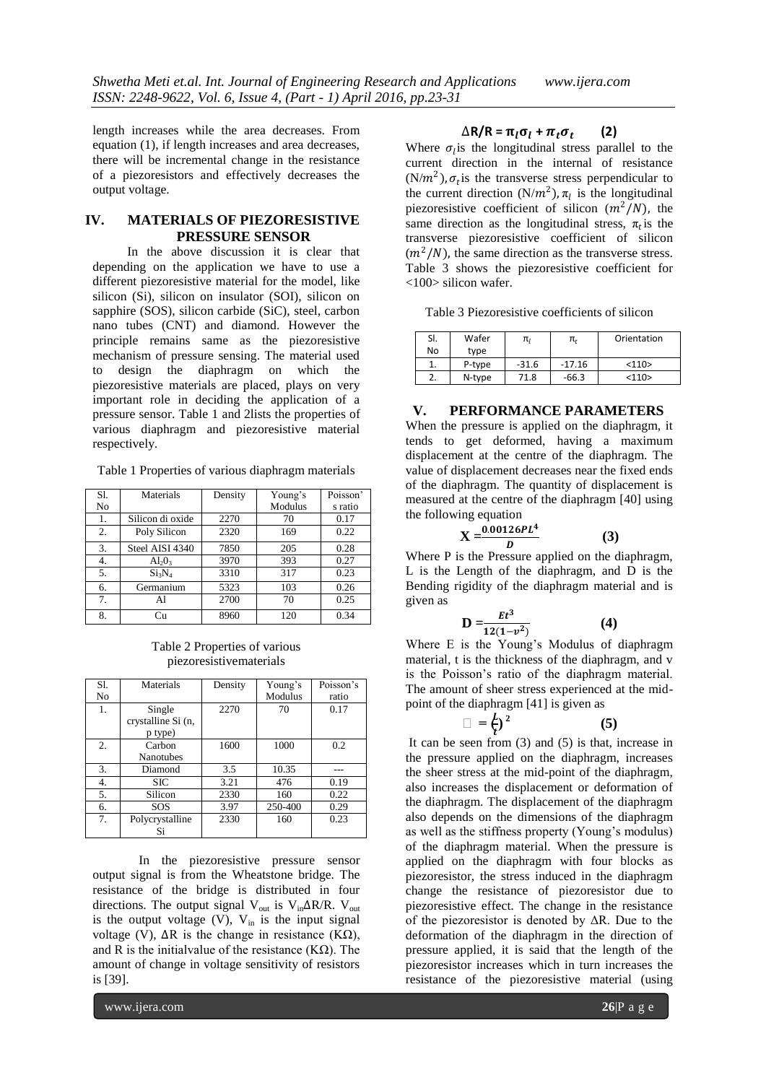length increases while the area decreases. From equation (1), if length increases and area decreases, there will be incremental change in the resistance of a piezoresistors and effectively decreases the output voltage.

#### **IV. MATERIALS OF PIEZORESISTIVE PRESSURE SENSOR**

In the above discussion it is clear that depending on the application we have to use a different piezoresistive material for the model, like silicon (Si), silicon on insulator (SOI), silicon on sapphire (SOS), silicon carbide (SiC), steel, carbon nano tubes (CNT) and diamond. However the principle remains same as the piezoresistive mechanism of pressure sensing. The material used to design the diaphragm on which the piezoresistive materials are placed, plays on very important role in deciding the application of a pressure sensor. Table 1 and 2lists the properties of various diaphragm and piezoresistive material respectively.

Table 1 Properties of various diaphragm materials

| Sl. | Materials                      | Density | Young's | Poisson' |
|-----|--------------------------------|---------|---------|----------|
| No  |                                |         | Modulus | s ratio  |
| 1.  | Silicon di oxide               | 2270    | 70      | 0.17     |
| 2.  | Poly Silicon                   | 2320    | 169     | 0.22     |
| 3.  | Steel AISI 4340                | 7850    | 205     | 0.28     |
| 4.  | $Al_2O_3$                      | 3970    | 393     | 0.27     |
| 5.  | Si <sub>3</sub> N <sub>4</sub> | 3310    | 317     | 0.23     |
| 6.  | Germanium                      | 5323    | 103     | 0.26     |
| 7.  | Al                             | 2700    | 70      | 0.25     |
| 8.  | Сu                             | 8960    | 120     | 0.34     |

Table 2 Properties of various piezoresistivematerials

| Sl. | Materials          | Density | Young's | Poisson's |
|-----|--------------------|---------|---------|-----------|
| No  |                    |         | Modulus | ratio     |
| 1.  | Single             | 2270    | 70      | 0.17      |
|     | crystalline Si (n, |         |         |           |
|     | p type)            |         |         |           |
| 2.  | Carbon             | 1600    | 1000    | 0.2       |
|     | <b>Nanotubes</b>   |         |         |           |
| 3.  | Diamond            | 3.5     | 10.35   |           |
| 4.  | <b>SIC</b>         | 3.21    | 476     | 0.19      |
| 5.  | Silicon            | 2330    | 160     | 0.22      |
| 6.  | SOS                | 3.97    | 250-400 | 0.29      |
| 7.  | Polycrystalline    | 2330    | 160     | 0.23      |
|     | Si                 |         |         |           |

In the piezoresistive pressure sensor output signal is from the Wheatstone bridge. The resistance of the bridge is distributed in four directions. The output signal V<sub>out</sub> is V<sub>in</sub> $\Delta$ R/R. V<sub>out</sub> is the output voltage  $(V)$ ,  $V_{in}$  is the input signal voltage (V),  $ΔR$  is the change in resistance (KΩ), and R is the initialvalue of the resistance  $(K\Omega)$ . The amount of change in voltage sensitivity of resistors is [39].

#### $\Delta$ **R/R** =  $\pi_l \sigma_l$  +  $\pi_t \sigma_t$ **(2)**

Where  $\sigma_l$  is the longitudinal stress parallel to the current direction in the internal of resistance  $(N/m<sup>2</sup>)$ ,  $\sigma_t$  is the transverse stress perpendicular to the current direction  $(N/m^2)$ ,  $\pi_l$  is the longitudinal piezoresistive coefficient of silicon  $(m^2/N)$ , the same direction as the longitudinal stress,  $\pi_t$  is the transverse piezoresistive coefficient of silicon  $(m<sup>2</sup>/N)$ , the same direction as the transverse stress. Table 3 shows the piezoresistive coefficient for <100> silicon wafer.

Table 3 Piezoresistive coefficients of silicon

| SI.      | Wafer  | π,      | π,       | Orientation |
|----------|--------|---------|----------|-------------|
| No       | type   |         |          |             |
| ı.       | P-type | $-31.6$ | $-17.16$ | <110>       |
| <u>~</u> | N-type | 71.8    | $-66.3$  | <110>       |

**V. PERFORMANCE PARAMETERS**

When the pressure is applied on the diaphragm, it tends to get deformed, having a maximum displacement at the centre of the diaphragm. The value of displacement decreases near the fixed ends of the diaphragm. The quantity of displacement is measured at the centre of the diaphragm [40] using the following equation

$$
X = \frac{0.00126PL^4}{D}
$$
 (3)

Where P is the Pressure applied on the diaphragm, L is the Length of the diaphragm, and D is the Bending rigidity of the diaphragm material and is given as

$$
D = \frac{Et^3}{12(1-v^2)}\tag{4}
$$

Where E is the Young's Modulus of diaphragm material, t is the thickness of the diaphragm, and v is the Poisson's ratio of the diaphragm material. The amount of sheer stress experienced at the midpoint of the diaphragm [41] is given as

$$
\Box = \frac{L}{t}^2 \tag{5}
$$

It can be seen from (3) and (5) is that, increase in the pressure applied on the diaphragm, increases the sheer stress at the mid-point of the diaphragm, also increases the displacement or deformation of the diaphragm. The displacement of the diaphragm also depends on the dimensions of the diaphragm as well as the stiffness property (Young's modulus) of the diaphragm material. When the pressure is applied on the diaphragm with four blocks as piezoresistor, the stress induced in the diaphragm change the resistance of piezoresistor due to piezoresistive effect. The change in the resistance of the piezoresistor is denoted by  $\Delta R$ . Due to the deformation of the diaphragm in the direction of pressure applied, it is said that the length of the piezoresistor increases which in turn increases the resistance of the piezoresistive material (using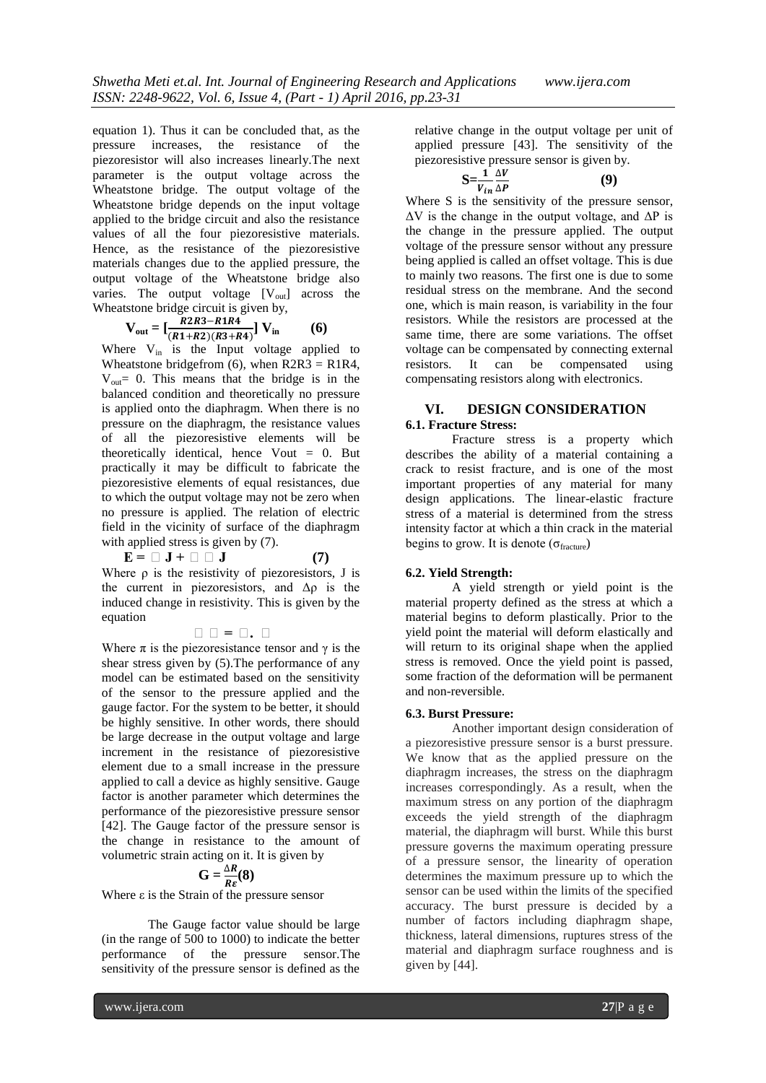equation 1). Thus it can be concluded that, as the pressure increases, the resistance of the piezoresistor will also increases linearly.The next parameter is the output voltage across the Wheatstone bridge. The output voltage of the Wheatstone bridge depends on the input voltage applied to the bridge circuit and also the resistance values of all the four piezoresistive materials. Hence, as the resistance of the piezoresistive materials changes due to the applied pressure, the output voltage of the Wheatstone bridge also varies. The output voltage  $[V_{out}]$  across the Wheatstone bridge circuit is given by,

$$
V_{out} = \left[\frac{R2R3 - R1R4}{(R1 + R2)(R3 + R4)}\right] V_{in}
$$
 (6)

Where  $V_{in}$  is the Input voltage applied to Wheatstone bridgefrom  $(6)$ , when R2R3 = R1R4,  $V_{\text{out}}$  = 0. This means that the bridge is in the balanced condition and theoretically no pressure is applied onto the diaphragm. When there is no pressure on the diaphragm, the resistance values of all the piezoresistive elements will be theoretically identical, hence  $V$ out = 0. But practically it may be difficult to fabricate the piezoresistive elements of equal resistances, due to which the output voltage may not be zero when no pressure is applied. The relation of electric field in the vicinity of surface of the diaphragm with applied stress is given by  $(7)$ .

 $E = \Box J + \Box \Box J$  (7) Where  $\rho$  is the resistivity of piezoresistors, J is the current in piezoresistors, and  $\Delta \rho$  is the induced change in resistivity. This is given by the equation

**ρρ = ρ. ρ**

Where  $\pi$  is the piezoresistance tensor and  $\gamma$  is the shear stress given by (5).The performance of any model can be estimated based on the sensitivity of the sensor to the pressure applied and the gauge factor. For the system to be better, it should be highly sensitive. In other words, there should be large decrease in the output voltage and large increment in the resistance of piezoresistive element due to a small increase in the pressure applied to call a device as highly sensitive. Gauge factor is another parameter which determines the performance of the piezoresistive pressure sensor [42]. The Gauge factor of the pressure sensor is the change in resistance to the amount of volumetric strain acting on it. It is given by

$$
\mathbf{G}=\frac{\Delta R}{R\epsilon}(\mathbf{8})
$$

Where  $\varepsilon$  is the Strain of the pressure sensor

The Gauge factor value should be large (in the range of 500 to 1000) to indicate the better performance of the pressure sensor.The sensitivity of the pressure sensor is defined as the

relative change in the output voltage per unit of applied pressure [43]. The sensitivity of the piezoresistive pressure sensor is given by.

$$
S = \frac{1}{v_{in}} \frac{\Delta V}{\Delta P}
$$
 (9)

Where S is the sensitivity of the pressure sensor,  $\Delta V$  is the change in the output voltage, and  $\Delta P$  is the change in the pressure applied. The output voltage of the pressure sensor without any pressure being applied is called an offset voltage. This is due to mainly two reasons. The first one is due to some residual stress on the membrane. And the second one, which is main reason, is variability in the four resistors. While the resistors are processed at the same time, there are some variations. The offset voltage can be compensated by connecting external resistors. It can be compensated using compensating resistors along with electronics.

#### **VI. DESIGN CONSIDERATION 6.1. Fracture Stress:**

Fracture stress is a property which describes the ability of a material containing a crack to resist fracture, and is one of the most important properties of any material for many design applications. The linear-elastic fracture stress of a material is determined from the stress intensity factor at which a thin crack in the material begins to grow. It is denote ( $\sigma_{\text{fracture}}$ )

#### **6.2. Yield Strength:**

A yield strength or yield point is the material property defined as the stress at which a material begins to deform plastically. Prior to the yield point the material will deform elastically and will return to its original shape when the applied stress is removed. Once the yield point is passed, some fraction of the deformation will be permanent and non-reversible.

#### **6.3. Burst Pressure:**

Another important design consideration of a piezoresistive pressure sensor is a burst pressure. We know that as the applied pressure on the diaphragm increases, the stress on the diaphragm increases correspondingly. As a result, when the maximum stress on any portion of the diaphragm exceeds the yield strength of the diaphragm material, the diaphragm will burst. While this burst pressure governs the maximum operating pressure of a pressure sensor, the linearity of operation determines the maximum pressure up to which the sensor can be used within the limits of the specified accuracy. The burst pressure is decided by a number of factors including diaphragm shape, thickness, lateral dimensions, ruptures stress of the material and diaphragm surface roughness and is given by [44].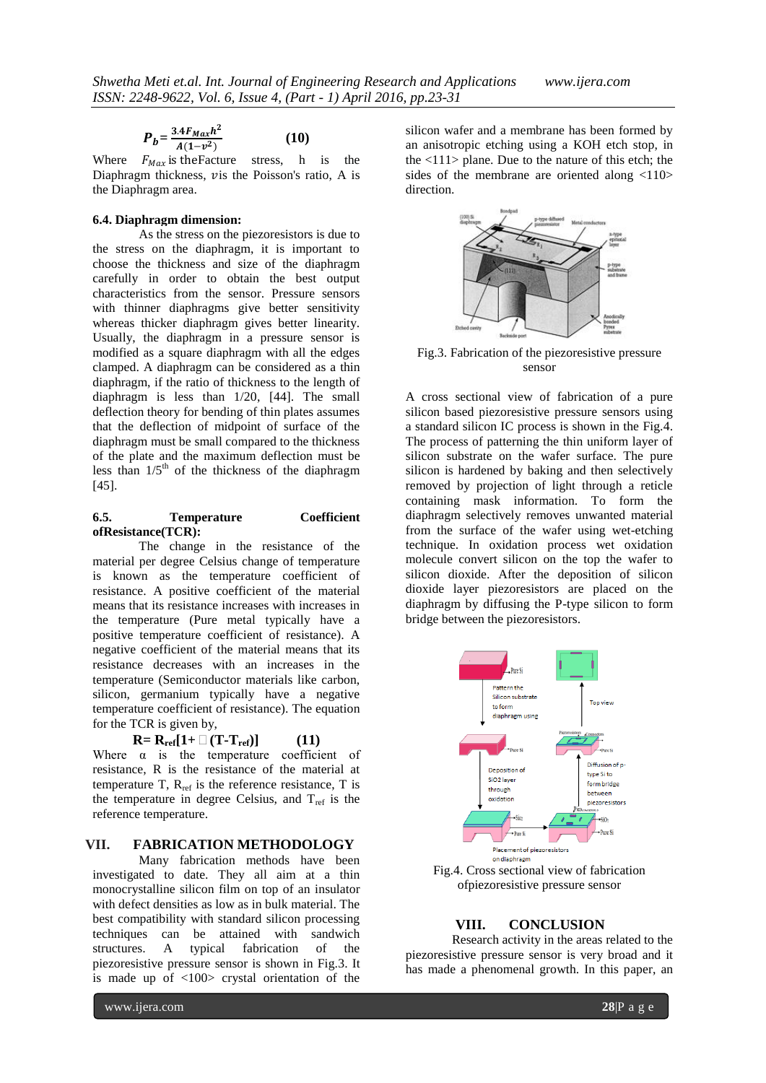$$
P_{b} = \frac{3.4F_{Max}h^2}{A(1-v^2)}
$$
 (10)

Where  $F_{Max}$  is the Facture stress, h is the Diaphragm thickness, vis the Poisson's ratio, A is the Diaphragm area.

#### **6.4. Diaphragm dimension:**

As the stress on the piezoresistors is due to the stress on the diaphragm, it is important to choose the thickness and size of the diaphragm carefully in order to obtain the best output characteristics from the sensor. Pressure sensors with thinner diaphragms give better sensitivity whereas thicker diaphragm gives better linearity. Usually, the diaphragm in a pressure sensor is modified as a square diaphragm with all the edges clamped. A diaphragm can be considered as a thin diaphragm, if the ratio of thickness to the length of diaphragm is less than 1/20, [44]. The small deflection theory for bending of thin plates assumes that the deflection of midpoint of surface of the diaphragm must be small compared to the thickness of the plate and the maximum deflection must be less than  $1/5<sup>th</sup>$  of the thickness of the diaphragm [45].

#### **6.5. Temperature Coefficient ofResistance(TCR):**

The change in the resistance of the material per degree Celsius change of temperature is known as the temperature coefficient of resistance. A positive coefficient of the material means that its resistance increases with increases in the temperature (Pure metal typically have a positive temperature coefficient of resistance). A negative coefficient of the material means that its resistance decreases with an increases in the temperature (Semiconductor materials like carbon, silicon, germanium typically have a negative temperature coefficient of resistance). The equation for the TCR is given by,

$$
\mathbf{R} = \mathbf{R}_{\text{ref}}[1 + \Box(\mathbf{T} \cdot \mathbf{T}_{\text{ref}})] \tag{11}
$$

$$
+\sqcup (\mathbf{1}\cdot \mathbf{1}_{\text{ref}})]
$$

Where  $\alpha$  is the temperature coefficient of resistance, R is the resistance of the material at temperature T,  $R_{ref}$  is the reference resistance, T is the temperature in degree Celsius, and  $T_{ref}$  is the reference temperature.

#### **VII. FABRICATION METHODOLOGY**

Many fabrication methods have been investigated to date. They all aim at a thin monocrystalline silicon film on top of an insulator with defect densities as low as in bulk material. The best compatibility with standard silicon processing techniques can be attained with sandwich structures. A typical fabrication of the piezoresistive pressure sensor is shown in Fig.3. It is made up of <100> crystal orientation of the

silicon wafer and a membrane has been formed by an anisotropic etching using a KOH etch stop, in the  $\langle 111 \rangle$  plane. Due to the nature of this etch; the sides of the membrane are oriented along <110> direction.



Fig.3. Fabrication of the piezoresistive pressure sensor

A cross sectional view of fabrication of a pure silicon based piezoresistive pressure sensors using a standard silicon IC process is shown in the Fig.4. The process of patterning the thin uniform layer of silicon substrate on the wafer surface. The pure silicon is hardened by baking and then selectively removed by projection of light through a reticle containing mask information. To form the diaphragm selectively removes unwanted material from the surface of the wafer using wet-etching technique. In oxidation process wet oxidation molecule convert silicon on the top the wafer to silicon dioxide. After the deposition of silicon dioxide layer piezoresistors are placed on the diaphragm by diffusing the P-type silicon to form bridge between the piezoresistors.



Fig.4. Cross sectional view of fabrication ofpiezoresistive pressure sensor

### **VIII. CONCLUSION**

Research activity in the areas related to the piezoresistive pressure sensor is very broad and it has made a phenomenal growth. In this paper, an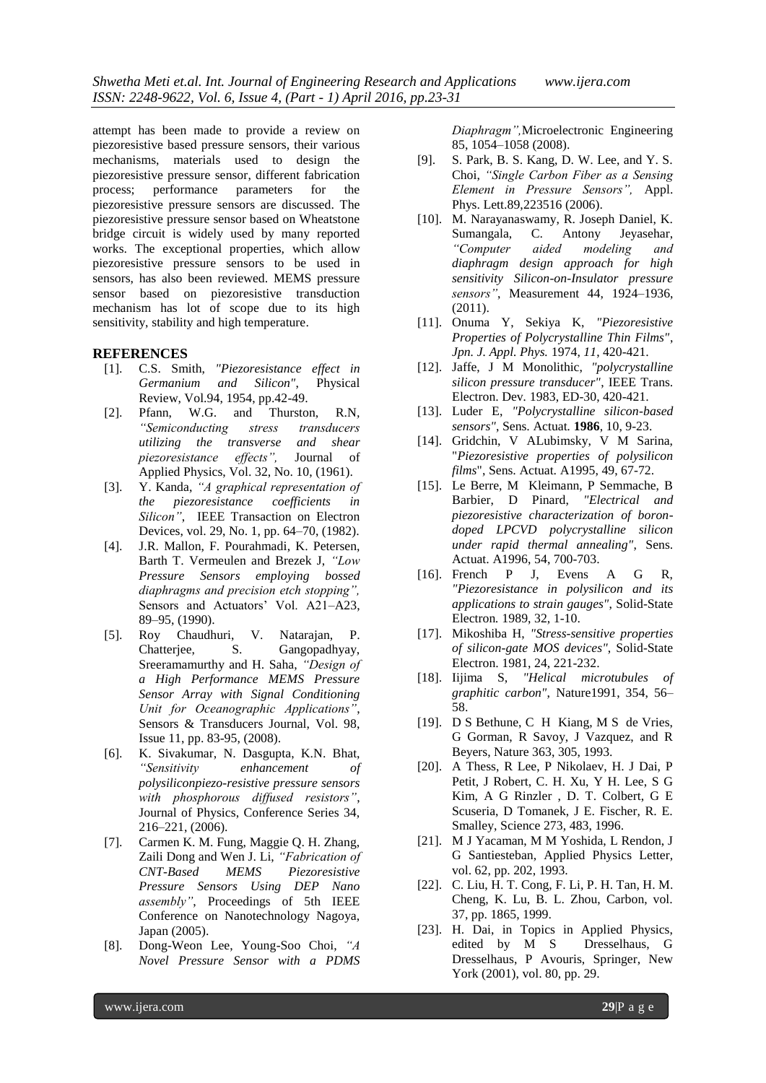attempt has been made to provide a review on piezoresistive based pressure sensors, their various mechanisms, materials used to design the piezoresistive pressure sensor, different fabrication process; performance parameters for the piezoresistive pressure sensors are discussed. The piezoresistive pressure sensor based on Wheatstone bridge circuit is widely used by many reported works. The exceptional properties, which allow piezoresistive pressure sensors to be used in sensors, has also been reviewed. MEMS pressure sensor based on piezoresistive transduction mechanism has lot of scope due to its high sensitivity, stability and high temperature.

#### **REFERENCES**

- [1]. C.S. Smith, *"Piezoresistance effect in Germanium and Silicon"*, Physical Review, Vol.94, 1954, pp.42-49.
- [2]. Pfann, W.G. and Thurston, R.N*, "Semiconducting stress transducers utilizing the transverse and shear piezoresistance effects",* Journal of Applied Physics, Vol. 32, No. 10, (1961).
- [3]. Y. Kanda, *"A graphical representation of the piezoresistance coefficients in Silicon"*, IEEE Transaction on Electron Devices, vol. 29, No. 1, pp. 64–70, (1982).
- [4]. J.R. Mallon, F. Pourahmadi, K. Petersen, Barth T. Vermeulen and Brezek J, *"Low Pressure Sensors employing bossed diaphragms and precision etch stopping",* Sensors and Actuators' Vol. A21–A23, 89–95, (1990).
- [5]. Roy Chaudhuri, V. Natarajan, P. Chatterjee, S. Gangopadhyay, Sreeramamurthy and H. Saha, *"Design of a High Performance MEMS Pressure Sensor Array with Signal Conditioning Unit for Oceanographic Applications"*, Sensors & Transducers Journal, Vol. 98, Issue 11, pp. 83-95, (2008).
- [6]. K. Sivakumar, N. Dasgupta, K.N. Bhat, *"Sensitivity enhancement of polysiliconpiezo-resistive pressure sensors with phosphorous diffused resistors"*, Journal of Physics, Conference Series 34, 216–221, (2006).
- [7]. Carmen K. M. Fung, Maggie Q. H. Zhang, Zaili Dong and Wen J. Li, *"Fabrication of CNT-Based MEMS Piezoresistive Pressure Sensors Using DEP Nano assembly"*, Proceedings of 5th IEEE Conference on Nanotechnology Nagoya, Japan (2005).
- [8]. Dong-Weon Lee, Young-Soo Choi, *"A Novel Pressure Sensor with a PDMS*

*Diaphragm",*Microelectronic Engineering 85, 1054–1058 (2008).

- [9]. S. Park, B. S. Kang, D. W. Lee, and Y. S. Choi, *"Single Carbon Fiber as a Sensing Element in Pressure Sensors",* Appl. Phys. Lett.89,223516 (2006).
- [10]. M. Narayanaswamy, R. Joseph Daniel, K. Sumangala, C. Antony Jeyasehar, *"Computer aided modeling and diaphragm design approach for high sensitivity Silicon-on-Insulator pressure sensors"*, Measurement 44, 1924–1936, (2011).
- [11]. Onuma Y, Sekiya K, *"Piezoresistive Properties of Polycrystalline Thin Films"*, *Jpn. J. Appl. Phys.* 1974, *11*, 420-421.
- [12]. Jaffe, J M Monolithic, *"polycrystalline silicon pressure transducer"*, IEEE Trans. Electron. Dev*.* 1983, ED-30, 420-421.
- [13]. Luder E, *"Polycrystalline silicon-based sensors"*, Sens. Actuat*.* **1986**, 10, 9-23.
- [14]. Gridchin, V ALubimsky, V M Sarina, "*Piezoresistive properties of polysilicon films*", Sens. Actuat. A1995, 49, 67-72.
- [15]. Le Berre, M Kleimann, P Semmache, B Barbier, D Pinard, *"Electrical and piezoresistive characterization of borondoped LPCVD polycrystalline silicon under rapid thermal annealing"*, Sens. Actuat. A1996, 54, 700-703.
- [16]. French P J, Evens A G R, *"Piezoresistance in polysilicon and its applications to strain gauges"*, Solid-State Electron*.* 1989, 32, 1-10.
- [17]. Mikoshiba H, *"Stress-sensitive properties of silicon-gate MOS devices"*, Solid-State Electron. 1981, 24, 221-232.
- [18]. Iijima S, *"Helical microtubules of graphitic carbon"*, Nature1991, 354, 56– 58.
- [19]. D S Bethune, C H Kiang, M S de Vries, G Gorman, R Savoy, J Vazquez, and R Beyers, Nature 363, 305, 1993.
- [20]. A Thess, R Lee, P Nikolaev, H. J Dai, P Petit, J Robert, C. H. Xu, Y H. Lee, S G Kim, A G Rinzler , D. T. Colbert, G E Scuseria, D Tomanek, J E. Fischer, R. E. Smalley, Science 273, 483, 1996.
- [21]. M J Yacaman, M M Yoshida, L Rendon, J G Santiesteban, Applied Physics Letter, vol. 62, pp. 202, 1993.
- [22]. C. Liu, H. T. Cong, F. Li, P. H. Tan, H. M. Cheng, K. Lu, B. L. Zhou, Carbon, vol. 37, pp. 1865, 1999.
- [23]. H. Dai, in Topics in Applied Physics, edited by M S Dresselhaus, G Dresselhaus, P Avouris, Springer, New York (2001), vol. 80, pp. 29.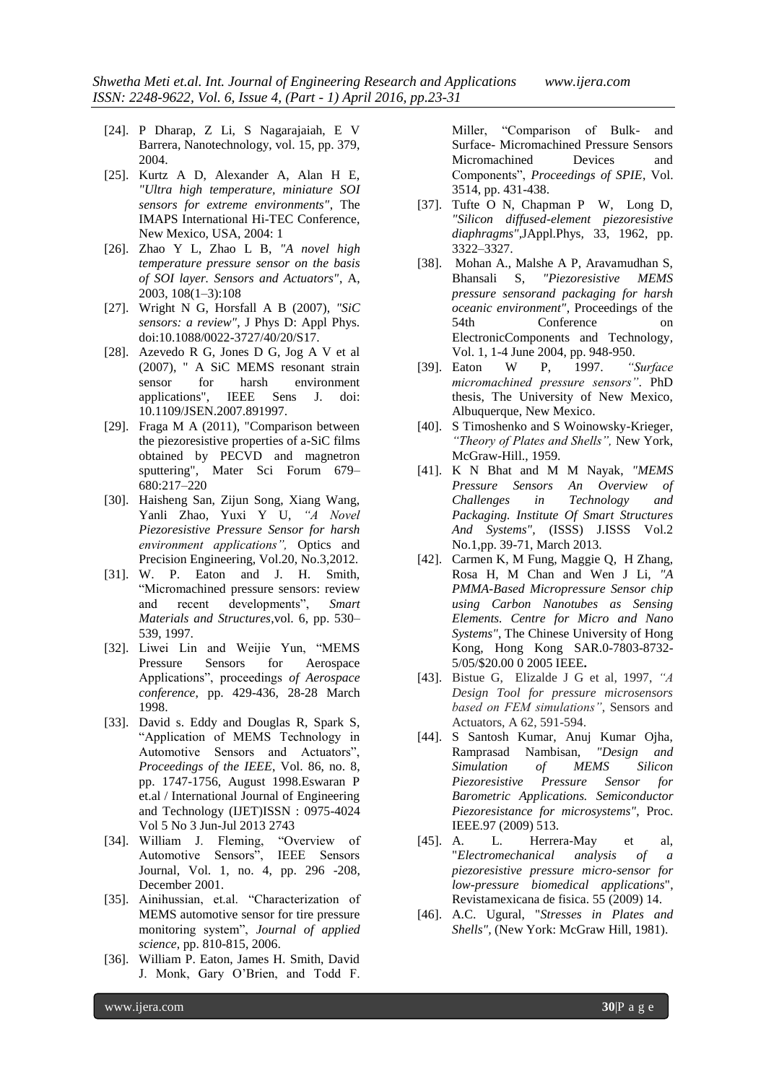- [24]. P Dharap, Z Li, S Nagarajaiah, E V Barrera, Nanotechnology, vol. 15, pp. 379, 2004.
- [25]. Kurtz A D, Alexander A, Alan H E, *"Ultra high temperature, miniature SOI sensors for extreme environments"*, The IMAPS International Hi-TEC Conference, New Mexico, USA, 2004: 1
- [26]. Zhao Y L, Zhao L B, *"A novel high temperature pressure sensor on the basis of SOI layer. Sensors and Actuators"*, A, 2003, 108(1–3):108
- [27]. Wright N G, Horsfall A B (2007), *"SiC sensors: a review"*, J Phys D: Appl Phys. doi:10.1088/0022-3727/40/20/S17.
- [28]. Azevedo R G, Jones D G, Jog A V et al (2007), " A SiC MEMS resonant strain sensor for harsh environment applications", IEEE Sens J. doi: 10.1109/JSEN.2007.891997.
- [29]. Fraga M A (2011), "Comparison between the piezoresistive properties of a-SiC films obtained by PECVD and magnetron sputtering", Mater Sci Forum 679– 680:217–220
- [30]. Haisheng San, Zijun Song, Xiang Wang, Yanli Zhao, Yuxi Y U, *"A Novel Piezoresistive Pressure Sensor for harsh environment applications",* Optics and Precision Engineering, Vol.20, No.3,2012.
- [31]. W. P. Eaton and J. H. Smith, "Micromachined pressure sensors: review and recent developments", *Smart Materials and Structures*,vol. 6, pp. 530– 539, 1997.
- [32]. Liwei Lin and Weijie Yun, "MEMS Pressure Sensors for Aerospace Applications", proceedings *of Aerospace conference*, pp. 429-436, 28-28 March 1998.
- [33]. David s. Eddy and Douglas R, Spark S, "Application of MEMS Technology in Automotive Sensors and Actuators", *Proceedings of the IEEE*, Vol. 86, no. 8, pp. 1747-1756, August 1998.Eswaran P et.al / International Journal of Engineering and Technology (IJET)ISSN : 0975-4024 Vol 5 No 3 Jun-Jul 2013 2743
- [34]. William J. Fleming, "Overview of Automotive Sensors", IEEE Sensors Journal, Vol. 1, no. 4, pp. 296 -208, December 2001.
- [35]. Ainihussian, et.al. "Characterization of MEMS automotive sensor for tire pressure monitoring system", *Journal of applied science*, pp. 810-815, 2006.
- [36]. William P. Eaton, James H. Smith, David J. Monk, Gary O'Brien, and Todd F.

Miller, "Comparison of Bulk- and Surface- Micromachined Pressure Sensors Micromachined Devices and Components", *Proceedings of SPIE*, Vol. 3514, pp. 431-438.

- [37]. Tufte O N, Chapman P W, Long D, *"Silicon diffused-element piezoresistive diaphragms",*JAppl.Phys*,* 33, 1962, pp. 3322–3327.
- [38]. Mohan A., Malshe A P, Aravamudhan S, Bhansali S, *"Piezoresistive MEMS pressure sensorand packaging for harsh oceanic environment"*, Proceedings of the 54th Conference on ElectronicComponents and Technology*,*  Vol. 1, 1-4 June 2004, pp. 948-950.
- [39]. Eaton W P, 1997. *"Surface micromachined pressure sensors"*. PhD thesis, The University of New Mexico, Albuquerque, New Mexico.
- [40]. S Timoshenko and S Woinowsky-Krieger, *"Theory of Plates and Shells",* New York, McGraw-Hill., 1959.
- [41]. K N Bhat and M M Nayak, *"MEMS Pressure Sensors An Overview of Challenges in Technology and Packaging. Institute Of Smart Structures And Systems",* (ISSS) J.ISSS Vol.2 No.1,pp. 39-71, March 2013.
- [42]. Carmen K, M Fung, Maggie Q, H Zhang, Rosa H, M Chan and Wen J Li, *"A PMMA-Based Micropressure Sensor chip using Carbon Nanotubes as Sensing Elements. Centre for Micro and Nano Systems"*, The Chinese University of Hong Kong, Hong Kong SAR.0-7803-8732- 5/05/\$20.00 0 2005 IEEE**.**
- [43]. Bistue G, Elizalde J G et al, 1997, *"A Design Tool for pressure microsensors based on FEM simulations"*, Sensors and Actuators, A 62, 591-594.
- [44]. S Santosh Kumar, Anuj Kumar Ojha, Ramprasad Nambisan, *"Design and Simulation of MEMS Silicon Piezoresistive Pressure Sensor for Barometric Applications. Semiconductor Piezoresistance for microsystems"*, Proc. IEEE.97 (2009) 513.
- [45]. A. L. Herrera-May et al, "*Electromechanical analysis of a piezoresistive pressure micro-sensor for low-pressure biomedical applications*", Revistamexicana de fisica. 55 (2009) 14.
- [46]. A.C. Ugural, "*Stresses in Plates and Shells",* (New York: McGraw Hill, 1981).